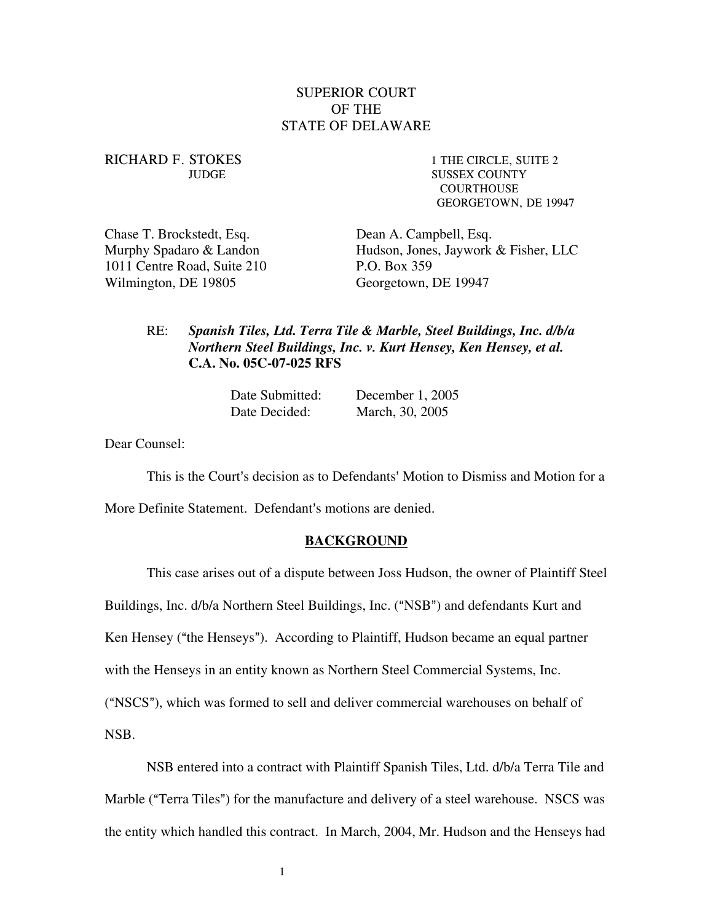## SUPERIOR COURT OF THE STATE OF DELAWARE

# RICHARD F. STOKES 1 THE CIRCLE, SUITE 2

JUDGE SUSSEX COUNTY **COURTHOUSE** GEORGETOWN, DE 19947

Chase T. Brockstedt, Esq. Dean A. Campbell, Esq. 1011 Centre Road, Suite 210 P.O. Box 359 Wilmington, DE 19805 Georgetown, DE 19947

Murphy Spadaro & Landon Hudson, Jones, Jaywork & Fisher, LLC

### RE: *Spanish Tiles, Ltd. Terra Tile & Marble, Steel Buildings, Inc. d/b/a Northern Steel Buildings, Inc. v. Kurt Hensey, Ken Hensey, et al.*  **C.A. No. 05C-07-025 RFS**

| Date Submitted: | December 1, 2005 |
|-----------------|------------------|
| Date Decided:   | March, 30, 2005  |

Dear Counsel:

This is the Court's decision as to Defendants' Motion to Dismiss and Motion for a

More Definite Statement. Defendant's motions are denied.

#### **BACKGROUND**

This case arises out of a dispute between Joss Hudson, the owner of Plaintiff Steel Buildings, Inc. d/b/a Northern Steel Buildings, Inc. ("NSB") and defendants Kurt and Ken Hensey ("the Henseys"). According to Plaintiff, Hudson became an equal partner with the Henseys in an entity known as Northern Steel Commercial Systems, Inc. ("NSCS"), which was formed to sell and deliver commercial warehouses on behalf of NSB.

NSB entered into a contract with Plaintiff Spanish Tiles, Ltd. d/b/a Terra Tile and Marble ("Terra Tiles") for the manufacture and delivery of a steel warehouse. NSCS was the entity which handled this contract. In March, 2004, Mr. Hudson and the Henseys had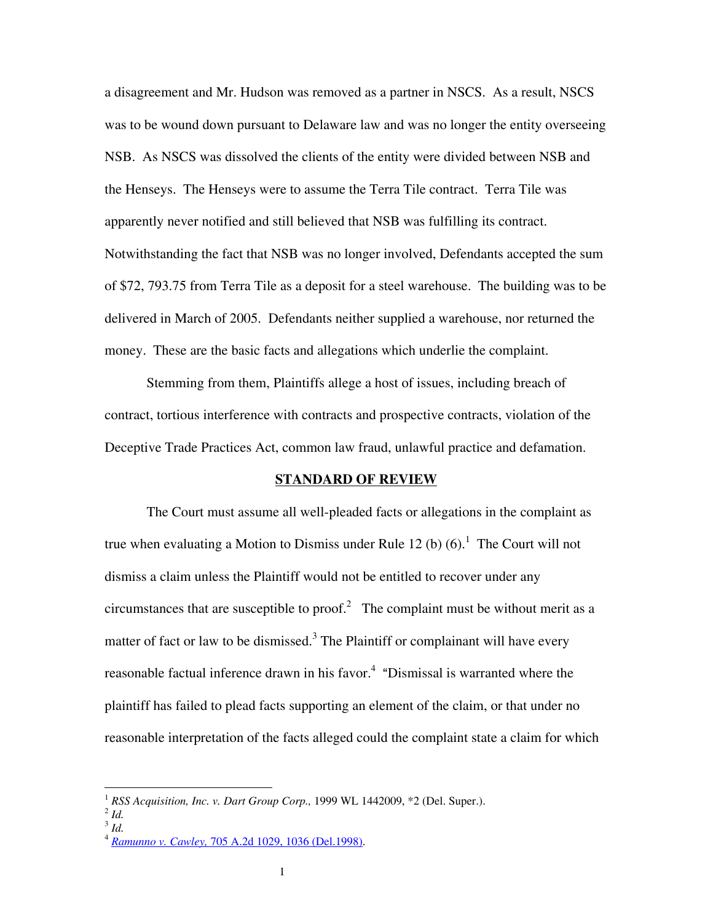a disagreement and Mr. Hudson was removed as a partner in NSCS. As a result, NSCS was to be wound down pursuant to Delaware law and was no longer the entity overseeing NSB. As NSCS was dissolved the clients of the entity were divided between NSB and the Henseys. The Henseys were to assume the Terra Tile contract. Terra Tile was apparently never notified and still believed that NSB was fulfilling its contract. Notwithstanding the fact that NSB was no longer involved, Defendants accepted the sum of \$72, 793.75 from Terra Tile as a deposit for a steel warehouse. The building was to be delivered in March of 2005. Defendants neither supplied a warehouse, nor returned the money. These are the basic facts and allegations which underlie the complaint.

Stemming from them, Plaintiffs allege a host of issues, including breach of contract, tortious interference with contracts and prospective contracts, violation of the Deceptive Trade Practices Act, common law fraud, unlawful practice and defamation.

#### **STANDARD OF REVIEW**

The Court must assume all well-pleaded facts or allegations in the complaint as true when evaluating a Motion to Dismiss under Rule [1](#page-1-0)2 (b)  $(6)$ .<sup>1</sup> The Court will not dismiss a claim unless the Plaintiff would not be entitled to recover under any circumstances that are susceptible to proof.<sup>[2](#page-1-1)</sup> The complaint must be without merit as a matter of fact or law to be dismissed.<sup>[3](#page-1-2)</sup> The Plaintiff or complainant will have every reasonable factual inference drawn in his favor. $4$  "Dismissal is warranted where the plaintiff has failed to plead facts supporting an element of the claim, or that under no reasonable interpretation of the facts alleged could the complaint state a claim for which

<span id="page-1-0"></span><sup>&</sup>lt;sup>1</sup> *RSS Acquisition, Inc. v. Dart Group Corp.*, 1999 WL 1442009, \*2 (Del. Super.). <sup>2</sup> *Id* 

<span id="page-1-1"></span>

<span id="page-1-2"></span><sup>3</sup> *Id.* 

<span id="page-1-3"></span><sup>4</sup> *Ramunno v. Cawley,* 705 A.2d 1029, 1036 (Del.1998).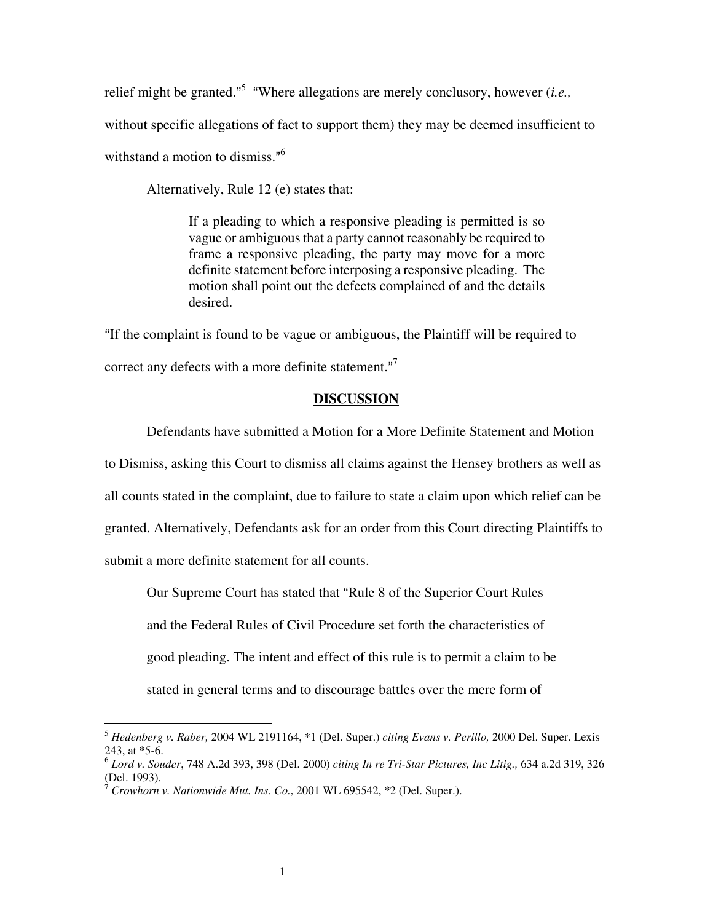relief might be granted.<sup>"[5](#page-2-0)</sup> "Where allegations are merely conclusory, however (*i.e.*,

without specific allegations of fact to support them) they may be deemed insufficient to

withstand a motion to dismiss. $^{16}$  $^{16}$  $^{16}$ 

Alternatively, Rule 12 (e) states that:

If a pleading to which a responsive pleading is permitted is so vague or ambiguous that a party cannot reasonably be required to frame a responsive pleading, the party may move for a more definite statement before interposing a responsive pleading. The motion shall point out the defects complained of and the details desired.

AIf the complaint is found to be vague or ambiguous, the Plaintiff will be required to correct any defects with a more definite statement. $"$ 

#### **DISCUSSION**

Defendants have submitted a Motion for a More Definite Statement and Motion to Dismiss, asking this Court to dismiss all claims against the Hensey brothers as well as all counts stated in the complaint, due to failure to state a claim upon which relief can be granted. Alternatively, Defendants ask for an order from this Court directing Plaintiffs to submit a more definite statement for all counts.

Our Supreme Court has stated that "Rule 8 of the Superior Court Rules" and the Federal Rules of Civil Procedure set forth the characteristics of good pleading. The intent and effect of this rule is to permit a claim to be stated in general terms and to discourage battles over the mere form of

<span id="page-2-0"></span><sup>5</sup> *Hedenberg v. Raber,* 2004 WL 2191164, \*1 (Del. Super.) *citing Evans v. Perillo,* 2000 Del. Super. Lexis 243, at \*5-6.

<span id="page-2-1"></span><sup>6</sup> *Lord v. Souder*, 748 A.2d 393, 398 (Del. 2000) *citing In re Tri-Star Pictures, Inc Litig.,* 634 a.2d 319, 326 (Del. 1993).

<span id="page-2-2"></span> $7$  *Crowhorn v. Nationwide Mut. Ins. Co.*, 2001 WL 695542,  $*2$  (Del. Super.).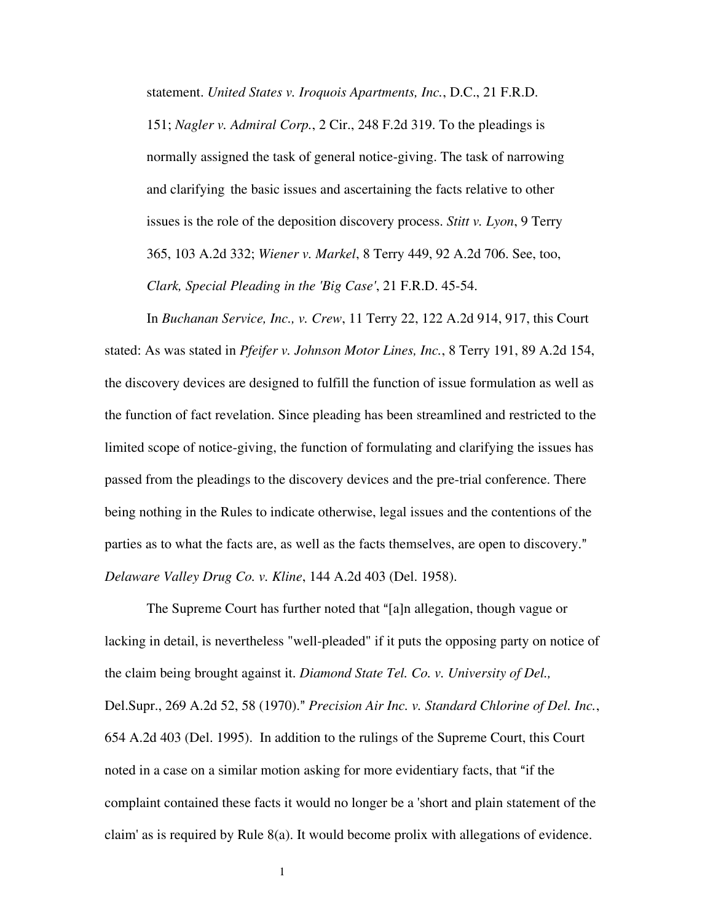statement. *United States v. Iroquois Apartments, Inc.*, D.C., 21 F.R.D.

151; *Nagler v. Admiral Corp.*, 2 Cir., 248 F.2d 319. To the pleadings is normally assigned the task of general notice-giving. The task of narrowing and clarifying the basic issues and ascertaining the facts relative to other issues is the role of the deposition discovery process. *Stitt v. Lyon*, 9 Terry 365, 103 A.2d 332; *Wiener v. Markel*, 8 Terry 449, 92 A.2d 706. See, too, *Clark, Special Pleading in the 'Big Case'*, 21 F.R.D. 45-54.

In *Buchanan Service, Inc., v. Crew*, 11 Terry 22, 122 A.2d 914, 917, this Court stated: As was stated in *Pfeifer v. Johnson Motor Lines, Inc.*, 8 Terry 191, 89 A.2d 154, the discovery devices are designed to fulfill the function of issue formulation as well as the function of fact revelation. Since pleading has been streamlined and restricted to the limited scope of notice-giving, the function of formulating and clarifying the issues has passed from the pleadings to the discovery devices and the pre-trial conference. There being nothing in the Rules to indicate otherwise, legal issues and the contentions of the parties as to what the facts are, as well as the facts themselves, are open to discovery." *Delaware Valley Drug Co. v. Kline*, 144 A.2d 403 (Del. 1958).

The Supreme Court has further noted that "[a]n allegation, though vague or lacking in detail, is nevertheless "well-pleaded" if it puts the opposing party on notice of the claim being brought against it. *Diamond State Tel. Co. v. University of Del.,* Del.Supr., 269 A.2d 52, 58 (1970)." *Precision Air Inc. v. Standard Chlorine of Del. Inc.*, 654 A.2d 403 (Del. 1995). In addition to the rulings of the Supreme Court, this Court noted in a case on a similar motion asking for more evidentiary facts, that "if the complaint contained these facts it would no longer be a 'short and plain statement of the claim' as is required by Rule 8(a). It would become prolix with allegations of evidence.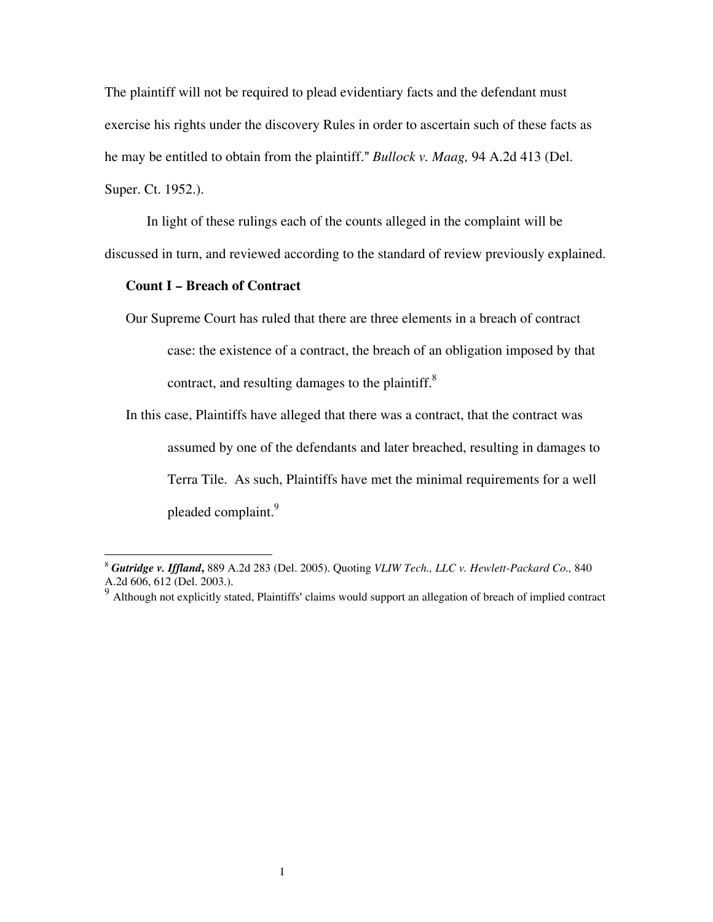<span id="page-4-1"></span>The plaintiff will not be required to plead evidentiary facts and the defendant must exercise his rights under the discovery Rules in order to ascertain such of these facts as he may be entitled to obtain from the plaintiff." *Bullock v. Maag*, 94 A.2d 413 (Del.) Super. Ct. 1952.).

In light of these rulings each of the counts alleged in the complaint will be discussed in turn, and reviewed according to the standard of review previously explained.

#### **Count I - Breach of Contract**

Our Supreme Court has ruled that there are three elements in a breach of contract case: the existence of a contract, the breach of an obligation imposed by that contract, and resulting damages to the plaintiff. $8<sup>8</sup>$  $8<sup>8</sup>$ 

In this case, Plaintiffs have alleged that there was a contract, that the contract was assumed by one of the defendants and later breached, resulting in damages to Terra Tile. As such, Plaintiffs have met the minimal requirements for a well pleaded complaint.<sup>[9](#page-4-1)</sup>

<span id="page-4-0"></span><sup>8</sup> *Gutridge v. Iffland***,** 889 A.2d 283 (Del. 2005). Quoting *VLIW Tech., LLC v. Hewlett-Packard Co.,*<sup>840</sup> A.2d 606, 612 (Del. 2003.).

 $9<sup>9</sup>$  Although not explicitly stated, Plaintiffs' claims would support an allegation of breach of implied contract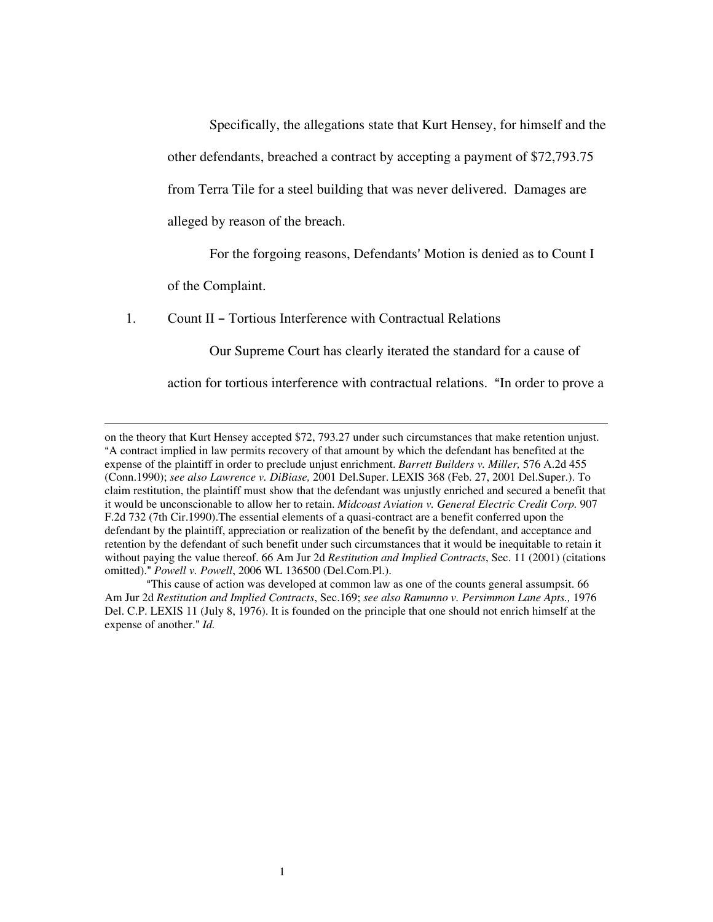Specifically, the allegations state that Kurt Hensey, for himself and the other defendants, breached a contract by accepting a payment of \$72,793.75 from Terra Tile for a steel building that was never delivered. Damages are alleged by reason of the breach.

For the forgoing reasons, Defendants' Motion is denied as to Count I

of the Complaint.

 $\overline{\phantom{a}}$ 

1. Count II – Tortious Interference with Contractual Relations

Our Supreme Court has clearly iterated the standard for a cause of

action for tortious interference with contractual relations. "In order to prove a

on the theory that Kurt Hensey accepted \$72, 793.27 under such circumstances that make retention unjust. <sup>4</sup> A contract implied in law permits recovery of that amount by which the defendant has benefited at the expense of the plaintiff in order to preclude unjust enrichment. *Barrett Builders v. Miller,* 576 A.2d 455 (Conn.1990); *see also Lawrence v. DiBiase,* 2001 Del.Super. LEXIS 368 (Feb. 27, 2001 Del.Super.). To claim restitution, the plaintiff must show that the defendant was unjustly enriched and secured a benefit that it would be unconscionable to allow her to retain. *Midcoast Aviation v. General Electric Credit Corp.* 907 F.2d 732 (7th Cir.1990).The essential elements of a quasi-contract are a benefit conferred upon the defendant by the plaintiff, appreciation or realization of the benefit by the defendant, and acceptance and retention by the defendant of such benefit under such circumstances that it would be inequitable to retain it without paying the value thereof. 66 Am Jur 2d *Restitution and Implied Contracts*, Sec. 11 (2001) (citations omitted)." Powell v. Powell, 2006 WL 136500 (Del.Com.Pl.).

AThis cause of action was developed at common law as one of the counts general assumpsit. 66 Am Jur 2d *Restitution and Implied Contracts*, Sec.169; *see also Ramunno v. Persimmon Lane Apts.,* 1976 Del. C.P. LEXIS 11 (July 8, 1976). It is founded on the principle that one should not enrich himself at the expense of another." *Id.*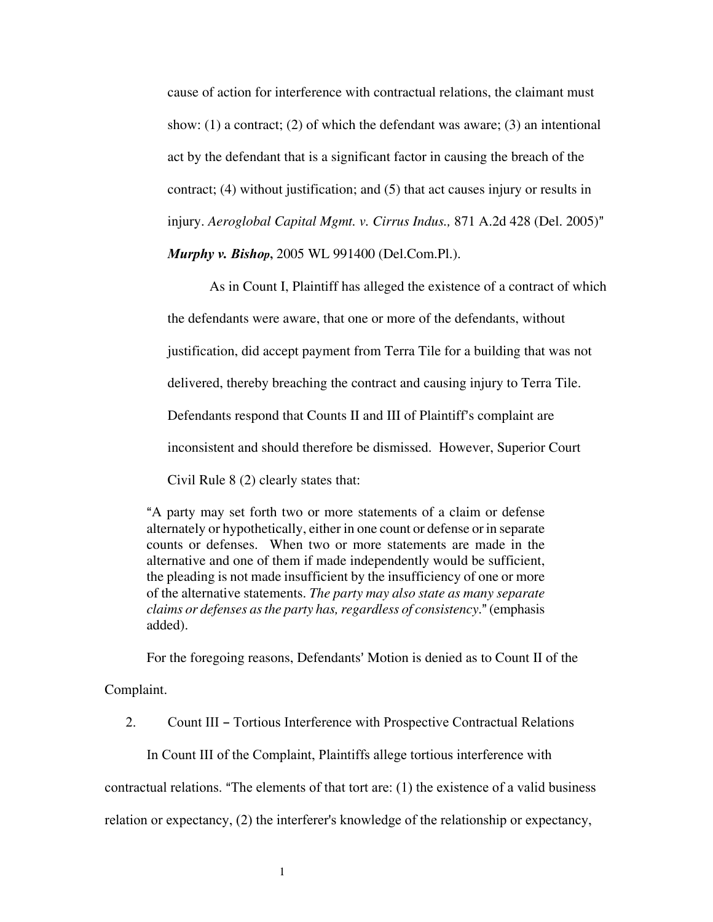cause of action for interference with contractual relations, the claimant must show:  $(1)$  a contract;  $(2)$  of which the defendant was aware;  $(3)$  an intentional act by the defendant that is a significant factor in causing the breach of the contract; (4) without justification; and (5) that act causes injury or results in injury. *Aeroglobal Capital Mgmt. v. Cirrus Indus.*, 871 A.2d 428 (Del. 2005)"

*Murphy v. Bishop***,** 2005 WL 991400 (Del.Com.Pl.).

As in Count I, Plaintiff has alleged the existence of a contract of which the defendants were aware, that one or more of the defendants, without justification, did accept payment from Terra Tile for a building that was not delivered, thereby breaching the contract and causing injury to Terra Tile. Defendants respond that Counts II and III of Plaintiff's complaint are inconsistent and should therefore be dismissed. However, Superior Court Civil Rule 8 (2) clearly states that:

"A party may set forth two or more statements of a claim or defense alternately or hypothetically, either in one count or defense or in separate counts or defenses. When two or more statements are made in the alternative and one of them if made independently would be sufficient, the pleading is not made insufficient by the insufficiency of one or more of the alternative statements. *The party may also state as many separate claims or defenses as the party has, regardless of consistency.*" (emphasis added).

For the foregoing reasons, Defendants' Motion is denied as to Count II of the

Complaint.

2. Count III - Tortious Interference with Prospective Contractual Relations

In Count III of the Complaint, Plaintiffs allege tortious interference with

contractual relations. "The elements of that tort are:  $(1)$  the existence of a valid business

relation or expectancy, (2) the interferer's knowledge of the relationship or expectancy,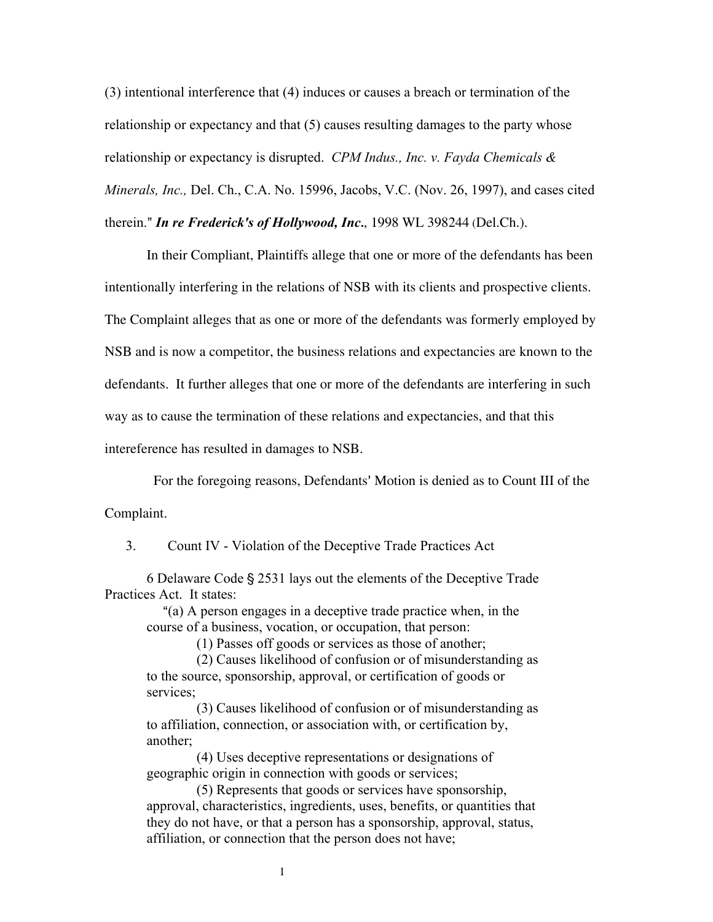(3) intentional interference that (4) induces or causes a breach or termination of the relationship or expectancy and that (5) causes resulting damages to the party whose relationship or expectancy is disrupted. *CPM Indus., Inc. v. Fayda Chemicals & Minerals, Inc.,* Del. Ch., C.A. No. 15996, Jacobs, V.C. (Nov. 26, 1997), and cases cited therein." *In re Frederick's of Hollywood, Inc.*, 1998 WL 398244 (Del.Ch.).

In their Compliant, Plaintiffs allege that one or more of the defendants has been intentionally interfering in the relations of NSB with its clients and prospective clients. The Complaint alleges that as one or more of the defendants was formerly employed by NSB and is now a competitor, the business relations and expectancies are known to the defendants. It further alleges that one or more of the defendants are interfering in such way as to cause the termination of these relations and expectancies, and that this intereference has resulted in damages to NSB.

For the foregoing reasons, Defendants' Motion is denied as to Count III of the Complaint.

3. Count IV - Violation of the Deceptive Trade Practices Act

6 Delaware Code § 2531 lays out the elements of the Deceptive Trade Practices Act. It states:

"(a) A person engages in a deceptive trade practice when, in the course of a business, vocation, or occupation, that person:

(1) Passes off goods or services as those of another;

(2) Causes likelihood of confusion or of misunderstanding as to the source, sponsorship, approval, or certification of goods or services;

(3) Causes likelihood of confusion or of misunderstanding as to affiliation, connection, or association with, or certification by, another;

(4) Uses deceptive representations or designations of geographic origin in connection with goods or services;

(5) Represents that goods or services have sponsorship, approval, characteristics, ingredients, uses, benefits, or quantities that they do not have, or that a person has a sponsorship, approval, status, affiliation, or connection that the person does not have;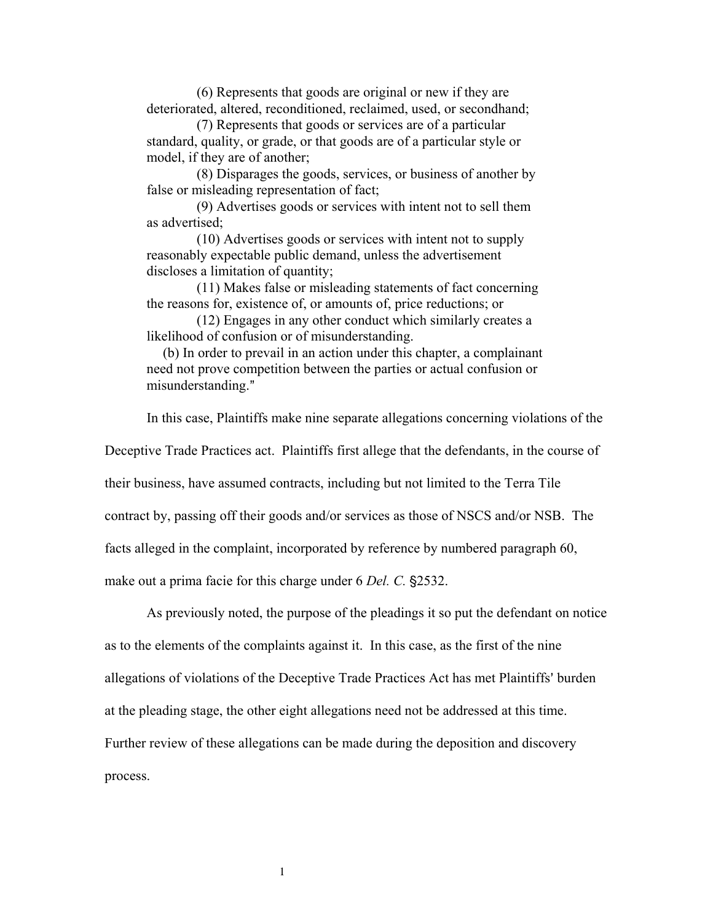(6) Represents that goods are original or new if they are deteriorated, altered, reconditioned, reclaimed, used, or secondhand;

(7) Represents that goods or services are of a particular standard, quality, or grade, or that goods are of a particular style or model, if they are of another;

(8) Disparages the goods, services, or business of another by false or misleading representation of fact;

(9) Advertises goods or services with intent not to sell them as advertised;

(10) Advertises goods or services with intent not to supply reasonably expectable public demand, unless the advertisement discloses a limitation of quantity;

(11) Makes false or misleading statements of fact concerning the reasons for, existence of, or amounts of, price reductions; or

(12) Engages in any other conduct which similarly creates a likelihood of confusion or of misunderstanding.

(b) In order to prevail in an action under this chapter, a complainant need not prove competition between the parties or actual confusion or misunderstanding."

In this case, Plaintiffs make nine separate allegations concerning violations of the

Deceptive Trade Practices act. Plaintiffs first allege that the defendants, in the course of

their business, have assumed contracts, including but not limited to the Terra Tile

contract by, passing off their goods and/or services as those of NSCS and/or NSB. The

facts alleged in the complaint, incorporated by reference by numbered paragraph 60,

make out a prima facie for this charge under 6 *Del. C.* §2532.

As previously noted, the purpose of the pleadings it so put the defendant on notice as to the elements of the complaints against it. In this case, as the first of the nine allegations of violations of the Deceptive Trade Practices Act has met Plaintiffs' burden at the pleading stage, the other eight allegations need not be addressed at this time. Further review of these allegations can be made during the deposition and discovery process.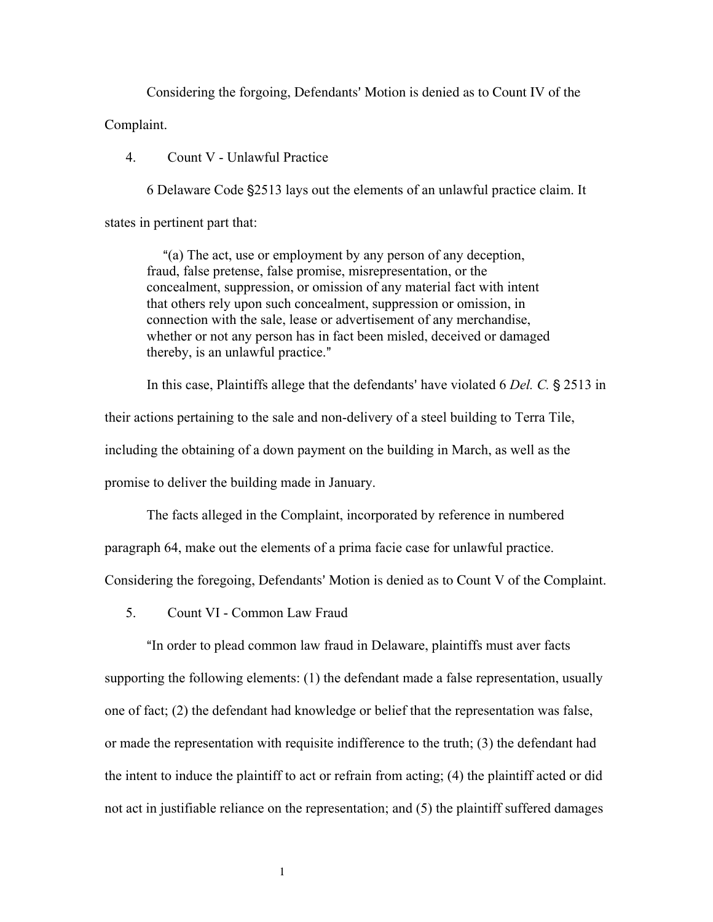Considering the forgoing, Defendants' Motion is denied as to Count IV of the Complaint.

4. Count V - Unlawful Practice

6 Delaware Code '2513 lays out the elements of an unlawful practice claim. It states in pertinent part that:

"(a) The act, use or employment by any person of any deception, fraud, false pretense, false promise, misrepresentation, or the concealment, suppression, or omission of any material fact with intent that others rely upon such concealment, suppression or omission, in connection with the sale, lease or advertisement of any merchandise, whether or not any person has in fact been misled, deceived or damaged thereby, is an unlawful practice."

In this case, Plaintiffs allege that the defendants' have violated 6 *Del. C.* § 2513 in

their actions pertaining to the sale and non-delivery of a steel building to Terra Tile,

including the obtaining of a down payment on the building in March, as well as the

promise to deliver the building made in January.

The facts alleged in the Complaint, incorporated by reference in numbered

paragraph 64, make out the elements of a prima facie case for unlawful practice.

Considering the foregoing, Defendants' Motion is denied as to Count V of the Complaint.

5. Count VI - Common Law Fraud

"In order to plead common law fraud in Delaware, plaintiffs must aver facts supporting the following elements: (1) the defendant made a false representation, usually one of fact; (2) the defendant had knowledge or belief that the representation was false, or made the representation with requisite indifference to the truth; (3) the defendant had the intent to induce the plaintiff to act or refrain from acting; (4) the plaintiff acted or did not act in justifiable reliance on the representation; and (5) the plaintiff suffered damages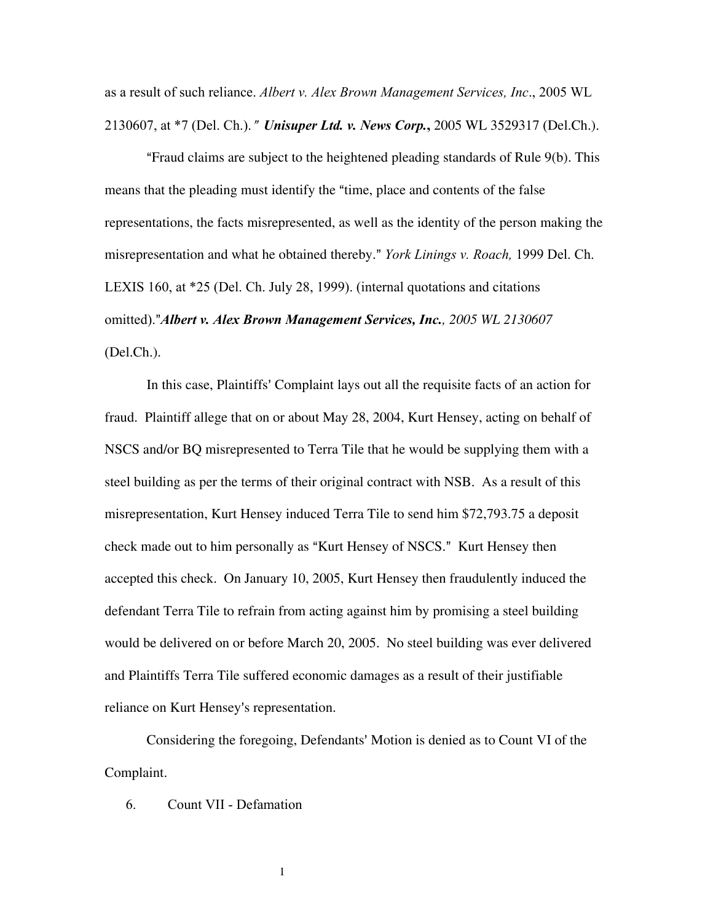as a result of such reliance. *Albert v. Alex Brown Management Services, Inc*., 2005 WL 2130607, at \*7 (Del. Ch.).@ *Unisuper Ltd. v. News Corp.***,** 2005 WL 3529317 (Del.Ch.).

"Fraud claims are subject to the heightened pleading standards of Rule 9(b). This means that the pleading must identify the "time, place and contents of the false representations, the facts misrepresented, as well as the identity of the person making the misrepresentation and what he obtained thereby." *York Linings v. Roach*, 1999 Del. Ch. LEXIS 160, at \*25 (Del. Ch. July 28, 1999). (internal quotations and citations omitted).@*Albert v. Alex Brown Management Services, Inc., 2005 WL 2130607* (Del.Ch.).

In this case, Plaintiffs' Complaint lays out all the requisite facts of an action for fraud. Plaintiff allege that on or about May 28, 2004, Kurt Hensey, acting on behalf of NSCS and/or BQ misrepresented to Terra Tile that he would be supplying them with a steel building as per the terms of their original contract with NSB. As a result of this misrepresentation, Kurt Hensey induced Terra Tile to send him \$72,793.75 a deposit check made out to him personally as "Kurt Hensey of NSCS." Kurt Hensey then accepted this check. On January 10, 2005, Kurt Hensey then fraudulently induced the defendant Terra Tile to refrain from acting against him by promising a steel building would be delivered on or before March 20, 2005. No steel building was ever delivered and Plaintiffs Terra Tile suffered economic damages as a result of their justifiable reliance on Kurt Hensey's representation.

Considering the foregoing, Defendants' Motion is denied as to Count VI of the Complaint.

6. Count VII - Defamation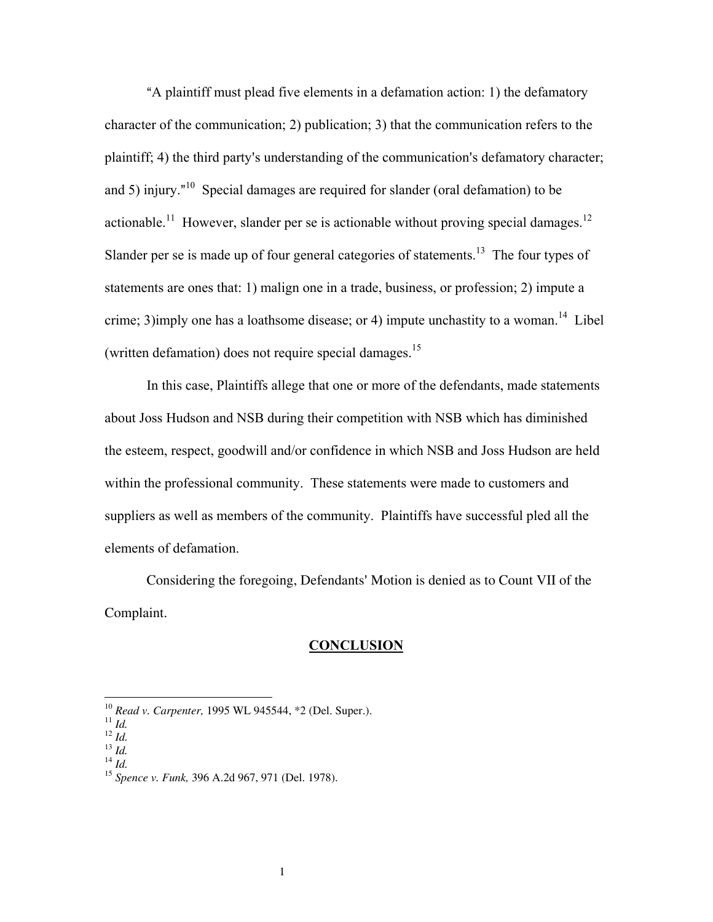"A plaintiff must plead five elements in a defamation action: 1) the defamatory character of the communication; 2) publication; 3) that the communication refers to the plaintiff; 4) the third party's understanding of the communication's defamatory character; and 5) injury.<sup> $n^{10}$ </sup> Special damages are required for slander (oral defamation) to be actionable.<sup>11</sup> However, slander per se is actionable without proving special damages.<sup>12</sup> Slander per se is made up of four general categories of statements.<sup>13</sup> The four types of statements are ones that: 1) malign one in a trade, business, or profession; 2) impute a crime; 3)imply one has a loathsome disease; or 4) impute unchastity to a woman.<sup>14</sup> Libel (written defamation) does not require special damages.<sup>[15](#page-11-5)</sup>

In this case, Plaintiffs allege that one or more of the defendants, made statements about Joss Hudson and NSB during their competition with NSB which has diminished the esteem, respect, goodwill and/or confidence in which NSB and Joss Hudson are held within the professional community. These statements were made to customers and suppliers as well as members of the community. Plaintiffs have successful pled all the elements of defamation.

Considering the foregoing, Defendants' Motion is denied as to Count VII of the Complaint.

#### **CONCLUSION**

<span id="page-11-0"></span><sup>10</sup> *Read v. Carpenter,* 1995 WL 945544, \*2 (Del. Super.). <sup>11</sup> *Id.* <sup>12</sup> *Id.* <sup>13</sup> *Id.* <sup>14</sup> *Id.* 

<span id="page-11-1"></span>

<span id="page-11-2"></span>

<span id="page-11-4"></span><span id="page-11-3"></span>

<span id="page-11-5"></span><sup>15</sup> *Spence v. Funk,* 396 A.2d 967, 971 (Del. 1978).